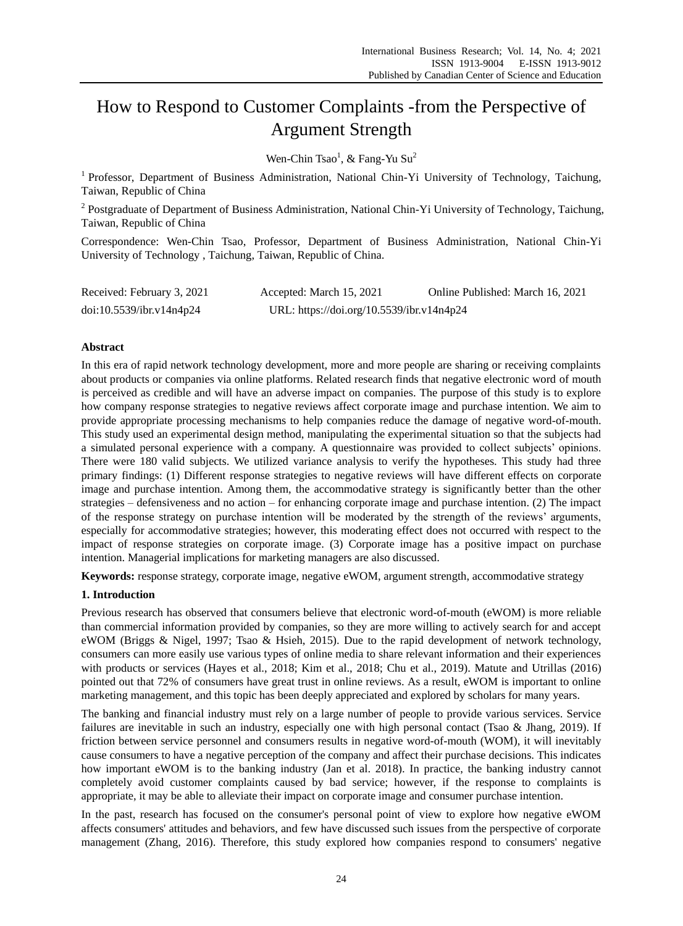# How to Respond to Customer Complaints -from the Perspective of Argument Strength

Wen-Chin Tsao<sup>1</sup>, & Fang-Yu Su<sup>2</sup>

<sup>1</sup> Professor, Department of Business Administration, National Chin-Yi University of Technology, Taichung, Taiwan, Republic of China

<sup>2</sup> Postgraduate of Department of Business Administration, National Chin-Yi University of Technology, Taichung, Taiwan, Republic of China

Correspondence: Wen-Chin Tsao, Professor, Department of Business Administration, National Chin-Yi University of Technology , Taichung, Taiwan, Republic of China.

| Received: February 3, 2021 | Accepted: March 15, 2021                  | Online Published: March 16, 2021 |
|----------------------------|-------------------------------------------|----------------------------------|
| doi:10.5539/ibr.v14n4p24   | URL: https://doi.org/10.5539/ibr.v14n4p24 |                                  |

# **Abstract**

In this era of rapid network technology development, more and more people are sharing or receiving complaints about products or companies via online platforms. Related research finds that negative electronic word of mouth is perceived as credible and will have an adverse impact on companies. The purpose of this study is to explore how company response strategies to negative reviews affect corporate image and purchase intention. We aim to provide appropriate processing mechanisms to help companies reduce the damage of negative word-of-mouth. This study used an experimental design method, manipulating the experimental situation so that the subjects had a simulated personal experience with a company. A questionnaire was provided to collect subjects' opinions. There were 180 valid subjects. We utilized variance analysis to verify the hypotheses. This study had three primary findings: (1) Different response strategies to negative reviews will have different effects on corporate image and purchase intention. Among them, the accommodative strategy is significantly better than the other strategies – defensiveness and no action – for enhancing corporate image and purchase intention. (2) The impact of the response strategy on purchase intention will be moderated by the strength of the reviews' arguments, especially for accommodative strategies; however, this moderating effect does not occurred with respect to the impact of response strategies on corporate image. (3) Corporate image has a positive impact on purchase intention. Managerial implications for marketing managers are also discussed.

**Keywords:** response strategy, corporate image, negative eWOM, argument strength, accommodative strategy

## **1. Introduction**

Previous research has observed that consumers believe that electronic word-of-mouth (eWOM) is more reliable than commercial information provided by companies, so they are more willing to actively search for and accept eWOM (Briggs & Nigel, 1997; Tsao & Hsieh, 2015). Due to the rapid development of network technology, consumers can more easily use various types of online media to share relevant information and their experiences with products or services (Hayes et al., 2018; Kim et al., 2018; Chu et al., 2019). Matute and Utrillas (2016) pointed out that 72% of consumers have great trust in online reviews. As a result, eWOM is important to online marketing management, and this topic has been deeply appreciated and explored by scholars for many years.

The banking and financial industry must rely on a large number of people to provide various services. Service failures are inevitable in such an industry, especially one with high personal contact (Tsao & Jhang, 2019). If friction between service personnel and consumers results in negative word-of-mouth (WOM), it will inevitably cause consumers to have a negative perception of the company and affect their purchase decisions. This indicates how important eWOM is to the banking industry (Jan et al. 2018). In practice, the banking industry cannot completely avoid customer complaints caused by bad service; however, if the response to complaints is appropriate, it may be able to alleviate their impact on corporate image and consumer purchase intention.

In the past, research has focused on the consumer's personal point of view to explore how negative eWOM affects consumers' attitudes and behaviors, and few have discussed such issues from the perspective of corporate management (Zhang, 2016). Therefore, this study explored how companies respond to consumers' negative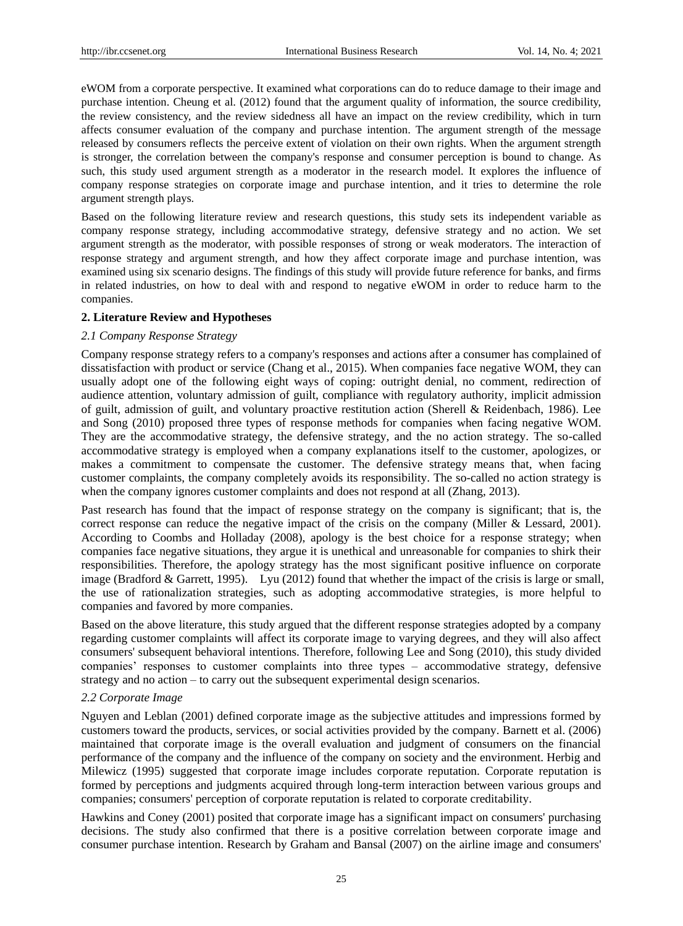eWOM from a corporate perspective. It examined what corporations can do to reduce damage to their image and purchase intention. Cheung et al. (2012) found that the argument quality of information, the source credibility, the review consistency, and the review sidedness all have an impact on the review credibility, which in turn affects consumer evaluation of the company and purchase intention. The argument strength of the message released by consumers reflects the perceive extent of violation on their own rights. When the argument strength is stronger, the correlation between the company's response and consumer perception is bound to change. As such, this study used argument strength as a moderator in the research model. It explores the influence of company response strategies on corporate image and purchase intention, and it tries to determine the role argument strength plays.

Based on the following literature review and research questions, this study sets its independent variable as company response strategy, including accommodative strategy, defensive strategy and no action. We set argument strength as the moderator, with possible responses of strong or weak moderators. The interaction of response strategy and argument strength, and how they affect corporate image and purchase intention, was examined using six scenario designs. The findings of this study will provide future reference for banks, and firms in related industries, on how to deal with and respond to negative eWOM in order to reduce harm to the companies.

## **2. Literature Review and Hypotheses**

## *2.1 Company Response Strategy*

Company response strategy refers to a company's responses and actions after a consumer has complained of dissatisfaction with product or service (Chang et al., 2015). When companies face negative WOM, they can usually adopt one of the following eight ways of coping: outright denial, no comment, redirection of audience attention, voluntary admission of guilt, compliance with regulatory authority, implicit admission of guilt, admission of guilt, and voluntary proactive restitution action (Sherell & Reidenbach, 1986). Lee and Song (2010) proposed three types of response methods for companies when facing negative WOM. They are the accommodative strategy, the defensive strategy, and the no action strategy. The so-called accommodative strategy is employed when a company explanations itself to the customer, apologizes, or makes a commitment to compensate the customer. The defensive strategy means that, when facing customer complaints, the company completely avoids its responsibility. The so-called no action strategy is when the company ignores customer complaints and does not respond at all (Zhang, 2013).

Past research has found that the impact of response strategy on the company is significant; that is, the correct response can reduce the negative impact of the crisis on the company (Miller & Lessard, 2001). According to Coombs and Holladay (2008), apology is the best choice for a response strategy; when companies face negative situations, they argue it is unethical and unreasonable for companies to shirk their responsibilities. Therefore, the apology strategy has the most significant positive influence on corporate image (Bradford & Garrett, 1995). Lyu (2012) found that whether the impact of the crisis is large or small, the use of rationalization strategies, such as adopting accommodative strategies, is more helpful to companies and favored by more companies.

Based on the above literature, this study argued that the different response strategies adopted by a company regarding customer complaints will affect its corporate image to varying degrees, and they will also affect consumers' subsequent behavioral intentions. Therefore, following Lee and Song (2010), this study divided companies' responses to customer complaints into three types – accommodative strategy, defensive strategy and no action – to carry out the subsequent experimental design scenarios.

# *2.2 Corporate Image*

Nguyen and Leblan (2001) defined corporate image as the subjective attitudes and impressions formed by customers toward the products, services, or social activities provided by the company. Barnett et al. (2006) maintained that corporate image is the overall evaluation and judgment of consumers on the financial performance of the company and the influence of the company on society and the environment. Herbig and Milewicz (1995) suggested that corporate image includes corporate reputation. Corporate reputation is formed by perceptions and judgments acquired through long-term interaction between various groups and companies; consumers' perception of corporate reputation is related to corporate creditability.

Hawkins and Coney (2001) posited that corporate image has a significant impact on consumers' purchasing decisions. The study also confirmed that there is a positive correlation between corporate image and consumer purchase intention. Research by Graham and Bansal (2007) on the airline image and consumers'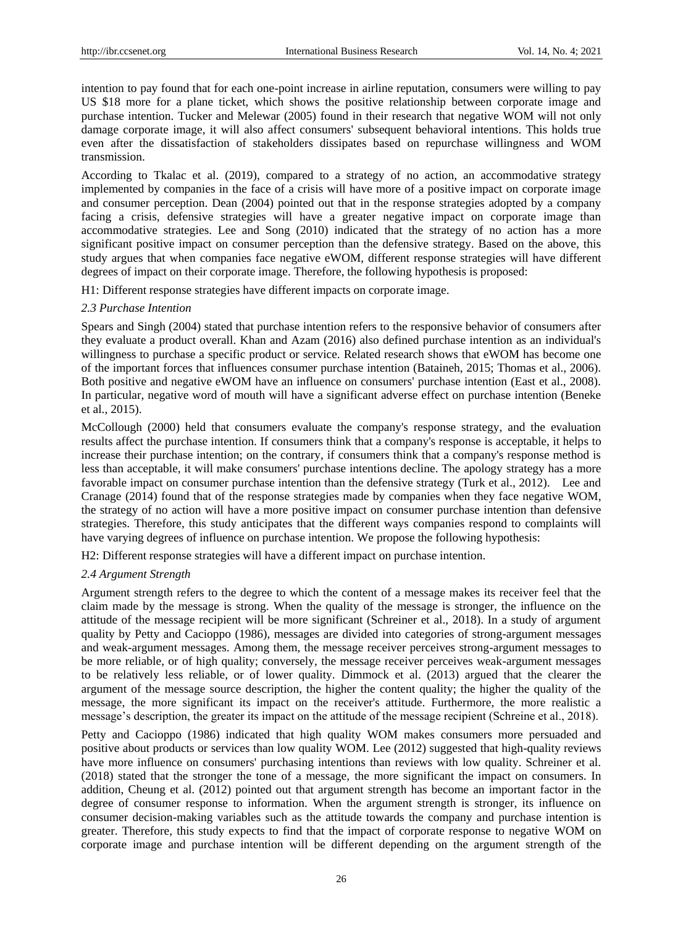intention to pay found that for each one-point increase in airline reputation, consumers were willing to pay US \$18 more for a plane ticket, which shows the positive relationship between corporate image and purchase intention. Tucker and Melewar (2005) found in their research that negative WOM will not only damage corporate image, it will also affect consumers' subsequent behavioral intentions. This holds true even after the dissatisfaction of stakeholders dissipates based on repurchase willingness and WOM transmission.

According to Tkalac et al. (2019), compared to a strategy of no action, an accommodative strategy implemented by companies in the face of a crisis will have more of a positive impact on corporate image and consumer perception. Dean (2004) pointed out that in the response strategies adopted by a company facing a crisis, defensive strategies will have a greater negative impact on corporate image than accommodative strategies. Lee and Song (2010) indicated that the strategy of no action has a more significant positive impact on consumer perception than the defensive strategy. Based on the above, this study argues that when companies face negative eWOM, different response strategies will have different degrees of impact on their corporate image. Therefore, the following hypothesis is proposed:

H1: Different response strategies have different impacts on corporate image.

# *2.3 Purchase Intention*

Spears and Singh (2004) stated that purchase intention refers to the responsive behavior of consumers after they evaluate a product overall. Khan and Azam (2016) also defined purchase intention as an individual's willingness to purchase a specific product or service. Related research shows that eWOM has become one of the important forces that influences consumer purchase intention (Bataineh, 2015; Thomas et al., 2006). Both positive and negative eWOM have an influence on consumers' purchase intention (East et al., 2008). In particular, negative word of mouth will have a significant adverse effect on purchase intention (Beneke et al., 2015).

McCollough (2000) held that consumers evaluate the company's response strategy, and the evaluation results affect the purchase intention. If consumers think that a company's response is acceptable, it helps to increase their purchase intention; on the contrary, if consumers think that a company's response method is less than acceptable, it will make consumers' purchase intentions decline. The apology strategy has a more favorable impact on consumer purchase intention than the defensive strategy (Turk et al., 2012). Lee and Cranage (2014) found that of the response strategies made by companies when they face negative WOM, the strategy of no action will have a more positive impact on consumer purchase intention than defensive strategies. Therefore, this study anticipates that the different ways companies respond to complaints will have varying degrees of influence on purchase intention. We propose the following hypothesis:

H2: Different response strategies will have a different impact on purchase intention.

# *2.4 Argument Strength*

Argument strength refers to the degree to which the content of a message makes its receiver feel that the claim made by the message is strong. When the quality of the message is stronger, the influence on the attitude of the message recipient will be more significant (Schreiner et al., 2018). In a study of argument quality by Petty and Cacioppo (1986), messages are divided into categories of strong-argument messages and weak-argument messages. Among them, the message receiver perceives strong-argument messages to be more reliable, or of high quality; conversely, the message receiver perceives weak-argument messages to be relatively less reliable, or of lower quality. Dimmock et al. (2013) argued that the clearer the argument of the message source description, the higher the content quality; the higher the quality of the message, the more significant its impact on the receiver's attitude. Furthermore, the more realistic a message's description, the greater its impact on the attitude of the message recipient (Schreine et al., 2018).

Petty and Cacioppo (1986) indicated that high quality WOM makes consumers more persuaded and positive about products or services than low quality WOM. Lee (2012) suggested that high-quality reviews have more influence on consumers' purchasing intentions than reviews with low quality. Schreiner et al. (2018) stated that the stronger the tone of a message, the more significant the impact on consumers. In addition, Cheung et al. (2012) pointed out that argument strength has become an important factor in the degree of consumer response to information. When the argument strength is stronger, its influence on consumer decision-making variables such as the attitude towards the company and purchase intention is greater. Therefore, this study expects to find that the impact of corporate response to negative WOM on corporate image and purchase intention will be different depending on the argument strength of the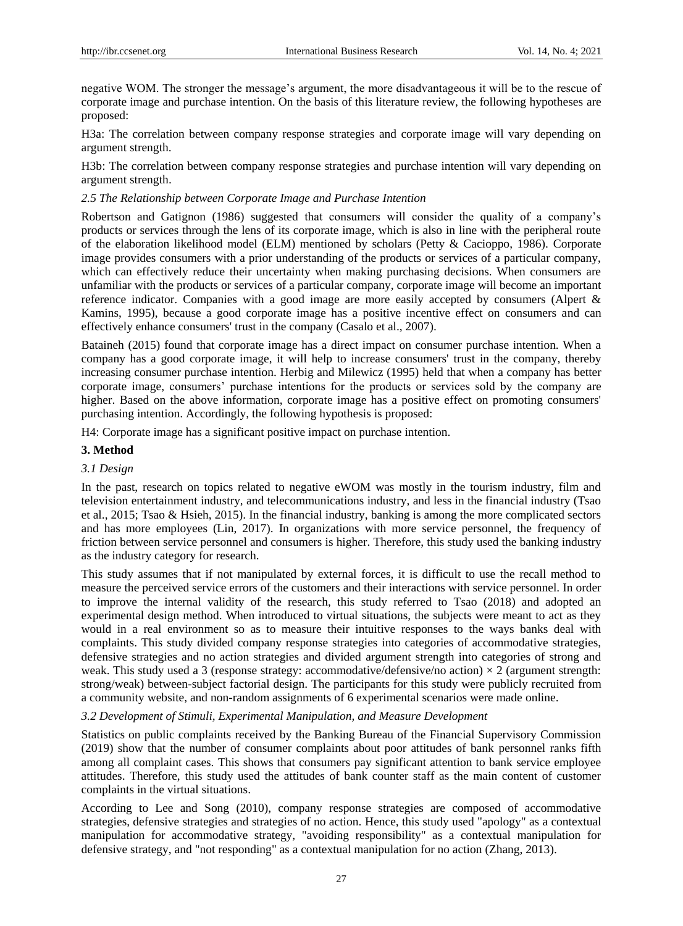negative WOM. The stronger the message's argument, the more disadvantageous it will be to the rescue of corporate image and purchase intention. On the basis of this literature review, the following hypotheses are proposed:

H3a: The correlation between company response strategies and corporate image will vary depending on argument strength.

H3b: The correlation between company response strategies and purchase intention will vary depending on argument strength.

## *2.5 The Relationship between Corporate Image and Purchase Intention*

Robertson and Gatignon (1986) suggested that consumers will consider the quality of a company's products or services through the lens of its corporate image, which is also in line with the peripheral route of the elaboration likelihood model (ELM) mentioned by scholars (Petty & Cacioppo, 1986). Corporate image provides consumers with a prior understanding of the products or services of a particular company, which can effectively reduce their uncertainty when making purchasing decisions. When consumers are unfamiliar with the products or services of a particular company, corporate image will become an important reference indicator. Companies with a good image are more easily accepted by consumers (Alpert & Kamins, 1995), because a good corporate image has a positive incentive effect on consumers and can effectively enhance consumers' trust in the company (Casalo et al., 2007).

Bataineh (2015) found that corporate image has a direct impact on consumer purchase intention. When a company has a good corporate image, it will help to increase consumers' trust in the company, thereby increasing consumer purchase intention. Herbig and Milewicz (1995) held that when a company has better corporate image, consumers' purchase intentions for the products or services sold by the company are higher. Based on the above information, corporate image has a positive effect on promoting consumers' purchasing intention. Accordingly, the following hypothesis is proposed:

H4: Corporate image has a significant positive impact on purchase intention.

# **3. Method**

# *3.1 Design*

In the past, research on topics related to negative eWOM was mostly in the tourism industry, film and television entertainment industry, and telecommunications industry, and less in the financial industry (Tsao et al., 2015; Tsao & Hsieh, 2015). In the financial industry, banking is among the more complicated sectors and has more employees (Lin, 2017). In organizations with more service personnel, the frequency of friction between service personnel and consumers is higher. Therefore, this study used the banking industry as the industry category for research.

This study assumes that if not manipulated by external forces, it is difficult to use the recall method to measure the perceived service errors of the customers and their interactions with service personnel. In order to improve the internal validity of the research, this study referred to Tsao (2018) and adopted an experimental design method. When introduced to virtual situations, the subjects were meant to act as they would in a real environment so as to measure their intuitive responses to the ways banks deal with complaints. This study divided company response strategies into categories of accommodative strategies, defensive strategies and no action strategies and divided argument strength into categories of strong and weak. This study used a 3 (response strategy: accommodative/defensive/no action)  $\times$  2 (argument strength: strong/weak) between-subject factorial design. The participants for this study were publicly recruited from a community website, and non-random assignments of 6 experimental scenarios were made online.

## *3.2 Development of Stimuli, Experimental Manipulation, and Measure Development*

Statistics on public complaints received by the Banking Bureau of the Financial Supervisory Commission (2019) show that the number of consumer complaints about poor attitudes of bank personnel ranks fifth among all complaint cases. This shows that consumers pay significant attention to bank service employee attitudes. Therefore, this study used the attitudes of bank counter staff as the main content of customer complaints in the virtual situations.

According to Lee and Song (2010), company response strategies are composed of accommodative strategies, defensive strategies and strategies of no action. Hence, this study used "apology" as a contextual manipulation for accommodative strategy, "avoiding responsibility" as a contextual manipulation for defensive strategy, and "not responding" as a contextual manipulation for no action (Zhang, 2013).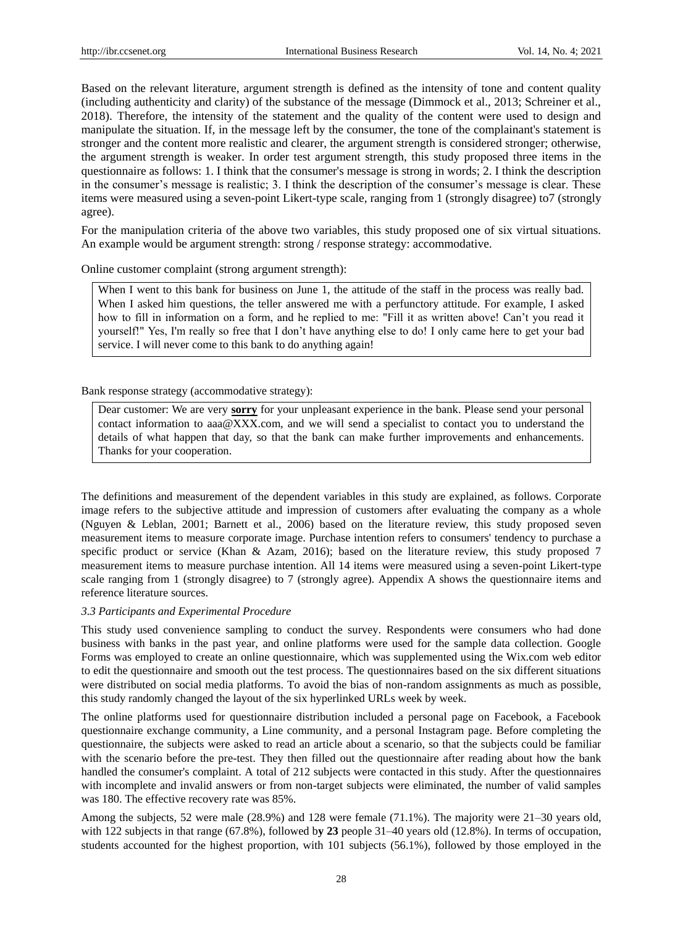Based on the relevant literature, argument strength is defined as the intensity of tone and content quality (including authenticity and clarity) of the substance of the message (Dimmock et al., 2013; Schreiner et al., 2018). Therefore, the intensity of the statement and the quality of the content were used to design and manipulate the situation. If, in the message left by the consumer, the tone of the complainant's statement is stronger and the content more realistic and clearer, the argument strength is considered stronger; otherwise, the argument strength is weaker. In order test argument strength, this study proposed three items in the questionnaire as follows: 1. I think that the consumer's message is strong in words; 2. I think the description in the consumer's message is realistic; 3. I think the description of the consumer's message is clear. These items were measured using a seven-point Likert-type scale, ranging from 1 (strongly disagree) to7 (strongly agree).

For the manipulation criteria of the above two variables, this study proposed one of six virtual situations. An example would be argument strength: strong / response strategy: accommodative.

Online customer complaint (strong argument strength):

When I went to this bank for business on June 1, the attitude of the staff in the process was really bad. When I asked him questions, the teller answered me with a perfunctory attitude. For example, I asked how to fill in information on a form, and he replied to me: "Fill it as written above! Can't you read it yourself!" Yes, I'm really so free that I don't have anything else to do! I only came here to get your bad service. I will never come to this bank to do anything again!

#### Bank response strategy (accommodative strategy):

Dear customer: We are very **sorry** for your unpleasant experience in the bank. Please send your personal contact information to aaa@XXX.com, and we will send a specialist to contact you to understand the details of what happen that day, so that the bank can make further improvements and enhancements. Thanks for your cooperation.

The definitions and measurement of the dependent variables in this study are explained, as follows. Corporate image refers to the subjective attitude and impression of customers after evaluating the company as a whole (Nguyen & Leblan, 2001; Barnett et al., 2006) based on the literature review, this study proposed seven measurement items to measure corporate image. Purchase intention refers to consumers' tendency to purchase a specific product or service (Khan & Azam, 2016); based on the literature review, this study proposed 7 measurement items to measure purchase intention. All 14 items were measured using a seven-point Likert-type scale ranging from 1 (strongly disagree) to 7 (strongly agree). Appendix A shows the questionnaire items and reference literature sources.

## *3.3 Participants and Experimental Procedure*

This study used convenience sampling to conduct the survey. Respondents were consumers who had done business with banks in the past year, and online platforms were used for the sample data collection. Google Forms was employed to create an online questionnaire, which was supplemented using the Wix.com web editor to edit the questionnaire and smooth out the test process. The questionnaires based on the six different situations were distributed on social media platforms. To avoid the bias of non-random assignments as much as possible, this study randomly changed the layout of the six hyperlinked URLs week by week.

The online platforms used for questionnaire distribution included a personal page on Facebook, a Facebook questionnaire exchange community, a Line community, and a personal Instagram page. Before completing the questionnaire, the subjects were asked to read an article about a scenario, so that the subjects could be familiar with the scenario before the pre-test. They then filled out the questionnaire after reading about how the bank handled the consumer's complaint. A total of 212 subjects were contacted in this study. After the questionnaires with incomplete and invalid answers or from non-target subjects were eliminated, the number of valid samples was 180. The effective recovery rate was 85%.

Among the subjects, 52 were male (28.9%) and 128 were female (71.1%). The majority were 21–30 years old, with 122 subjects in that range (67.8%), followed by 23 people 31–40 years old (12.8%). In terms of occupation, students accounted for the highest proportion, with 101 subjects (56.1%), followed by those employed in the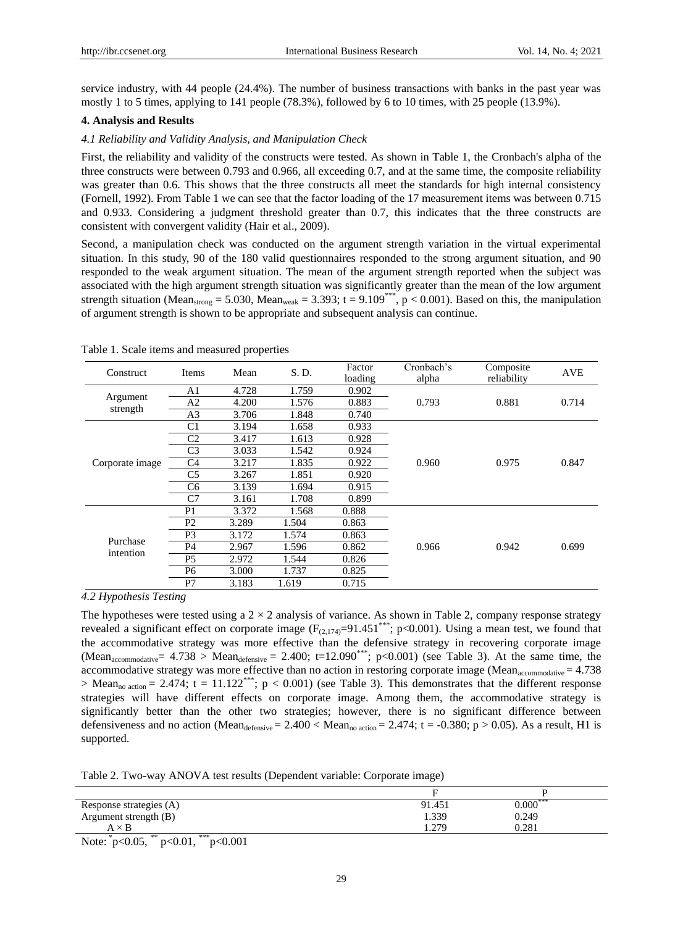service industry, with 44 people (24.4%). The number of business transactions with banks in the past year was mostly 1 to 5 times, applying to 141 people (78.3%), followed by 6 to 10 times, with 25 people (13.9%).

## **4. Analysis and Results**

#### *4.1 Reliability and Validity Analysis, and Manipulation Check*

First, the reliability and validity of the constructs were tested. As shown in Table 1, the Cronbach's alpha of the three constructs were between 0.793 and 0.966, all exceeding 0.7, and at the same time, the composite reliability was greater than 0.6. This shows that the three constructs all meet the standards for high internal consistency (Fornell, 1992). From Table 1 we can see that the factor loading of the 17 measurement items was between 0.715 and 0.933. Considering a judgment threshold greater than 0.7, this indicates that the three constructs are consistent with convergent validity (Hair et al., 2009).

Second, a manipulation check was conducted on the argument strength variation in the virtual experimental situation. In this study, 90 of the 180 valid questionnaires responded to the strong argument situation, and 90 responded to the weak argument situation. The mean of the argument strength reported when the subject was associated with the high argument strength situation was significantly greater than the mean of the low argument strength situation (Mean<sub>strong</sub> = 5.030, Mean<sub>weak</sub> = 3.393; t = 9.109<sup>\*\*\*</sup>, p < 0.001). Based on this, the manipulation of argument strength is shown to be appropriate and subsequent analysis can continue.

| Construct             | Items          | Mean  | S. D. | Factor<br>loading | Cronbach's<br>alpha | Composite<br>reliability | <b>AVE</b> |
|-----------------------|----------------|-------|-------|-------------------|---------------------|--------------------------|------------|
|                       | A1             | 4.728 | 1.759 | 0.902             |                     |                          |            |
| Argument              | A <sub>2</sub> | 4.200 | 1.576 | 0.883             | 0.793               | 0.881                    | 0.714      |
| strength              | A <sub>3</sub> | 3.706 | 1.848 | 0.740             |                     |                          |            |
|                       | C <sub>1</sub> | 3.194 | 1.658 | 0.933             |                     |                          |            |
|                       | C2             | 3.417 | 1.613 | 0.928             |                     |                          |            |
|                       | C <sub>3</sub> | 3.033 | 1.542 | 0.924             |                     |                          |            |
| Corporate image       | C <sub>4</sub> | 3.217 | 1.835 | 0.922             | 0.960               | 0.975                    | 0.847      |
|                       | C5             | 3.267 | 1.851 | 0.920             |                     |                          |            |
|                       | C6             | 3.139 | 1.694 | 0.915             |                     |                          |            |
|                       | C7             | 3.161 | 1.708 | 0.899             |                     |                          |            |
|                       | P <sub>1</sub> | 3.372 | 1.568 | 0.888             |                     |                          |            |
|                       | P <sub>2</sub> | 3.289 | 1.504 | 0.863             |                     |                          |            |
|                       | P3             | 3.172 | 1.574 | 0.863             |                     |                          |            |
| Purchase<br>intention | P4             | 2.967 | 1.596 | 0.862             | 0.966               | 0.942                    | 0.699      |
|                       | P <sub>5</sub> | 2.972 | 1.544 | 0.826             |                     |                          |            |
|                       | P <sub>6</sub> | 3.000 | 1.737 | 0.825             |                     |                          |            |
|                       | P7             | 3.183 | 1.619 | 0.715             |                     |                          |            |

Table 1. Scale items and measured properties

*4.2 Hypothesis Testing*

The hypotheses were tested using a  $2 \times 2$  analysis of variance. As shown in Table 2, company response strategy revealed a significant effect on corporate image  $(F_{(2,174)}=91.451***; p<0.001)$ . Using a mean test, we found that the accommodative strategy was more effective than the defensive strategy in recovering corporate image (Mean<sub>accommodative</sub>=  $4.738$  > Mean<sub>defensive</sub> = 2.400; t=12.090<sup>\*\*\*</sup>; p<0.001) (see Table 3). At the same time, the accommodative strategy was more effective than no action in restoring corporate image (Mean<sub>accommodative</sub>  $= 4.738$ )  $>$  Mean<sub>no action</sub> = 2.474; t = 11.122<sup>\*\*\*</sup>; p < 0.001) (see Table 3). This demonstrates that the different response strategies will have different effects on corporate image. Among them, the accommodative strategy is significantly better than the other two strategies; however, there is no significant difference between defensiveness and no action (Mean<sub>defensive</sub> = 2.400 < Mean<sub>no action</sub> = 2.474; t = -0.380; p > 0.05). As a result, H1 is supported.

Table 2. Two-way ANOVA test results (Dependent variable: Corporate image)

| Response strategies (A) | 91.451 | $0.000***$ |
|-------------------------|--------|------------|
| Argument strength (B)   | 1.339  | 0.249      |
| $A \times B$<br>.       | 1.279  | 0.281      |

Note:  $p<0.05$ ,  $p<0.01$ ,  $p<0.001$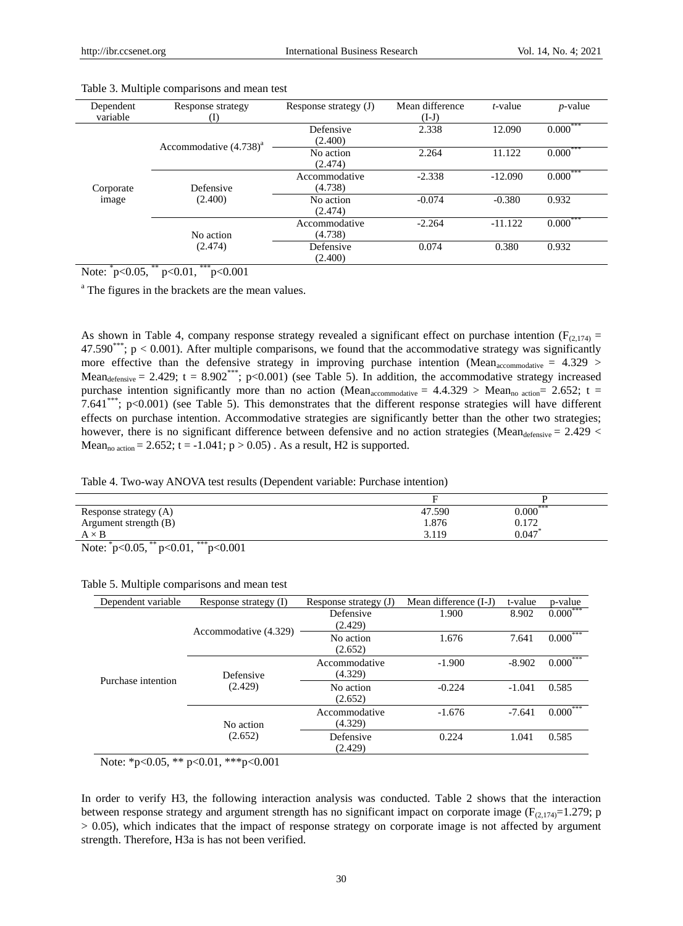| Dependent<br>variable | Response strategy<br>(I)    | Response strategy (J)    | Mean difference<br>$(I-J)$ | t-value   | $p$ -value |
|-----------------------|-----------------------------|--------------------------|----------------------------|-----------|------------|
|                       | Accommodative $(4.738)^{a}$ | Defensive<br>(2.400)     | 2.338                      | 12.090    | $0.000***$ |
|                       |                             | No action<br>(2.474)     | 2.264                      | 11.122    | $0.000***$ |
| Corporate             | Defensive<br>(2.400)        | Accommodative<br>(4.738) | $-2.338$                   | $-12.090$ | $0.000***$ |
| image                 |                             | No action<br>(2.474)     | $-0.074$                   | $-0.380$  | 0.932      |
|                       | No action                   | Accommodative<br>(4.738) | $-2.264$                   | $-11.122$ | $0.000***$ |
|                       | (2.474)                     | Defensive<br>(2.400)     | 0.074                      | 0.380     | 0.932      |

#### Table 3. Multiple comparisons and mean test

Note:  $p<0.05$ ,  $p<0.01$ ,  $p<0.001$ 

<sup>a</sup> The figures in the brackets are the mean values.

As shown in Table 4, company response strategy revealed a significant effect on purchase intention ( $F_{(2,174)}$  = 47.590\*\*\*;  $p < 0.001$ ). After multiple comparisons, we found that the accommodative strategy was significantly more effective than the defensive strategy in improving purchase intention (Mean<sub>accommodative</sub> =  $4.329$ ) Mean<sub>defensive</sub> = 2.429; t = 8.902<sup>\*\*\*</sup>; p<0.001) (see Table 5). In addition, the accommodative strategy increased purchase intention significantly more than no action (Mean<sub>accommodative</sub> =  $4.4.329$  > Mean<sub>no action</sub>= 2.652; t = 7.641\*\*\*; p<0.001) (see Table 5). This demonstrates that the different response strategies will have different effects on purchase intention. Accommodative strategies are significantly better than the other two strategies; however, there is no significant difference between defensive and no action strategies (Mean $_{\text{defensive}} = 2.429$  <  $Mean_{no\,action} = 2.652$ ; t = -1.041; p > 0.05). As a result, H2 is supported.

#### Table 4. Two-way ANOVA test results (Dependent variable: Purchase intention)

| Response strategy (A)                             | 47.590 | $0.000***$ |
|---------------------------------------------------|--------|------------|
| Argument strength (B)                             | 1.876  | 0.172      |
| $A \times B$                                      | 3.119  | 0.047      |
| ***<br>$0.05$ **<br>0.01<br>$\mathbf{r}$<br>0.001 |        |            |

Note:  $p<0.05$ ,  $p<0.01$ ,  $p<0.001$ 

| Dependent variable | Response strategy (I) | Response strategy (J)    | Mean difference (I-J) | t-value  | p-value    |
|--------------------|-----------------------|--------------------------|-----------------------|----------|------------|
| Purchase intention |                       | Defensive<br>(2.429)     | 1.900                 | 8.902    | $0.000***$ |
|                    | Accommodative (4.329) | No action<br>(2.652)     | 1.676                 | 7.641    | $0.000***$ |
|                    | Defensive<br>(2.429)  | Accommodative<br>(4.329) | $-1.900$              | $-8.902$ | $0.000***$ |
|                    |                       | No action<br>(2.652)     | $-0.224$              | $-1.041$ | 0.585      |
|                    | No action             | Accommodative<br>(4.329) | $-1.676$              | $-7.641$ | $0.000***$ |
|                    | (2.652)               | Defensive<br>(2.429)     | 0.224                 | 1.041    | 0.585      |

## Table 5. Multiple comparisons and mean test

Note: \*p<0.05, \*\* p<0.01, \*\*\*p<0.001

In order to verify H3, the following interaction analysis was conducted. Table 2 shows that the interaction between response strategy and argument strength has no significant impact on corporate image ( $F_{(2,174)}=1.279$ ; p > 0.05), which indicates that the impact of response strategy on corporate image is not affected by argument strength. Therefore, H3a is has not been verified.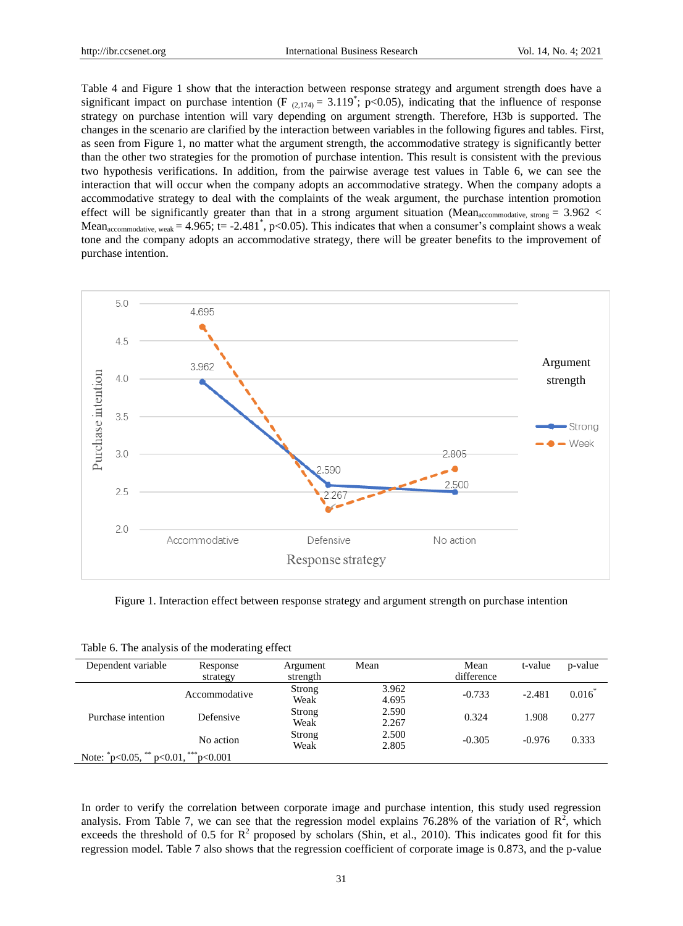Table 4 and Figure 1 show that the interaction between response strategy and argument strength does have a significant impact on purchase intention (F  $_{(2,174)} = 3.119^*$ ; p<0.05), indicating that the influence of response strategy on purchase intention will vary depending on argument strength. Therefore, H3b is supported. The changes in the scenario are clarified by the interaction between variables in the following figures and tables. First, as seen from Figure 1, no matter what the argument strength, the accommodative strategy is significantly better than the other two strategies for the promotion of purchase intention. This result is consistent with the previous two hypothesis verifications. In addition, from the pairwise average test values in Table 6, we can see the interaction that will occur when the company adopts an accommodative strategy. When the company adopts a accommodative strategy to deal with the complaints of the weak argument, the purchase intention promotion effect will be significantly greater than that in a strong argument situation (Mean<sub>accommodative, strong</sub> =  $3.962 <$ Mean<sub>accommodative, weak</sub> = 4.965; t = -2.481<sup>\*</sup>, p<0.05). This indicates that when a consumer's complaint shows a weak tone and the company adopts an accommodative strategy, there will be greater benefits to the improvement of purchase intention.



Figure 1. Interaction effect between response strategy and argument strength on purchase intention

| Dependent variable               | Response          | Argument | Mean  | Mean       | t-value  | p-value   |
|----------------------------------|-------------------|----------|-------|------------|----------|-----------|
|                                  | strategy          | strength |       | difference |          |           |
|                                  | Accommodative     | Strong   | 3.962 | $-0.733$   | $-2.481$ | $0.016^*$ |
|                                  |                   | Weak     | 4.695 |            |          |           |
| Purchase intention               | Defensive         | Strong   | 2.590 | 0.324      | 1.908    | 0.277     |
|                                  |                   | Weak     | 2.267 |            |          |           |
|                                  |                   | Strong   | 2.500 |            | $-0.976$ | 0.333     |
|                                  | No action         | Weak     | 2.805 | $-0.305$   |          |           |
| Note: $p<0.05$ , $p<0.01$ , $p1$ | $r_{\rm p<0.001}$ |          |       |            |          |           |

Table 6. The analysis of the moderating effect

In order to verify the correlation between corporate image and purchase intention, this study used regression analysis. From Table 7, we can see that the regression model explains 76.28% of the variation of  $\mathbb{R}^2$ , which exceeds the threshold of 0.5 for  $\mathbb{R}^2$  proposed by scholars (Shin, et al., 2010). This indicates good fit for this regression model. Table 7 also shows that the regression coefficient of corporate image is 0.873, and the p-value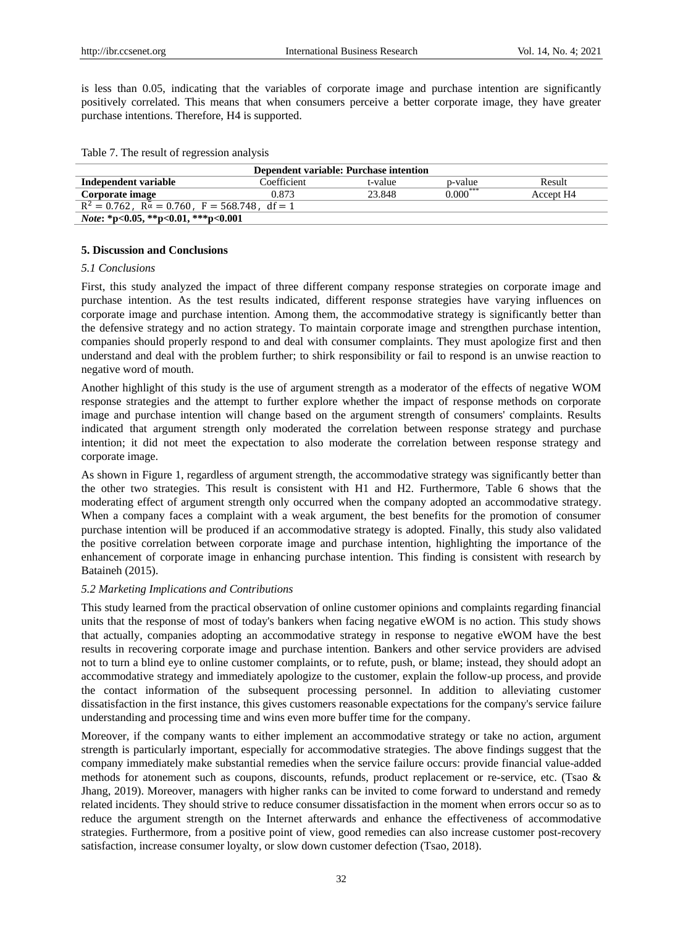is less than 0.05, indicating that the variables of corporate image and purchase intention are significantly positively correlated. This means that when consumers perceive a better corporate image, they have greater purchase intentions. Therefore, H4 is supported.

|  |  | Table 7. The result of regression analysis |  |
|--|--|--------------------------------------------|--|
|  |  |                                            |  |
|  |  |                                            |  |
|  |  |                                            |  |

| Dependent variable: Purchase intention                     |             |         |            |                       |  |  |  |
|------------------------------------------------------------|-------------|---------|------------|-----------------------|--|--|--|
| Independent variable                                       | Coefficient | t-value | p-value    | Result                |  |  |  |
| Corporate image                                            | 0.873       | 23.848  | $0.000***$ | Accept H <sub>4</sub> |  |  |  |
| $R^2 = 0.762$ , $R\alpha = 0.760$ , $F = 568.748$ , df = 1 |             |         |            |                       |  |  |  |
| <i>Note</i> : *p<0.05, **p<0.01, ***p<0.001                |             |         |            |                       |  |  |  |

#### **5. Discussion and Conclusions**

## *5.1 Conclusions*

First, this study analyzed the impact of three different company response strategies on corporate image and purchase intention. As the test results indicated, different response strategies have varying influences on corporate image and purchase intention. Among them, the accommodative strategy is significantly better than the defensive strategy and no action strategy. To maintain corporate image and strengthen purchase intention, companies should properly respond to and deal with consumer complaints. They must apologize first and then understand and deal with the problem further; to shirk responsibility or fail to respond is an unwise reaction to negative word of mouth.

Another highlight of this study is the use of argument strength as a moderator of the effects of negative WOM response strategies and the attempt to further explore whether the impact of response methods on corporate image and purchase intention will change based on the argument strength of consumers' complaints. Results indicated that argument strength only moderated the correlation between response strategy and purchase intention; it did not meet the expectation to also moderate the correlation between response strategy and corporate image.

As shown in Figure 1, regardless of argument strength, the accommodative strategy was significantly better than the other two strategies. This result is consistent with H1 and H2. Furthermore, Table 6 shows that the moderating effect of argument strength only occurred when the company adopted an accommodative strategy. When a company faces a complaint with a weak argument, the best benefits for the promotion of consumer purchase intention will be produced if an accommodative strategy is adopted. Finally, this study also validated the positive correlation between corporate image and purchase intention, highlighting the importance of the enhancement of corporate image in enhancing purchase intention. This finding is consistent with research by Bataineh (2015).

#### *5.2 Marketing Implications and Contributions*

This study learned from the practical observation of online customer opinions and complaints regarding financial units that the response of most of today's bankers when facing negative eWOM is no action. This study shows that actually, companies adopting an accommodative strategy in response to negative eWOM have the best results in recovering corporate image and purchase intention. Bankers and other service providers are advised not to turn a blind eye to online customer complaints, or to refute, push, or blame; instead, they should adopt an accommodative strategy and immediately apologize to the customer, explain the follow-up process, and provide the contact information of the subsequent processing personnel. In addition to alleviating customer dissatisfaction in the first instance, this gives customers reasonable expectations for the company's service failure understanding and processing time and wins even more buffer time for the company.

Moreover, if the company wants to either implement an accommodative strategy or take no action, argument strength is particularly important, especially for accommodative strategies. The above findings suggest that the company immediately make substantial remedies when the service failure occurs: provide financial value-added methods for atonement such as coupons, discounts, refunds, product replacement or re-service, etc. (Tsao & Jhang, 2019). Moreover, managers with higher ranks can be invited to come forward to understand and remedy related incidents. They should strive to reduce consumer dissatisfaction in the moment when errors occur so as to reduce the argument strength on the Internet afterwards and enhance the effectiveness of accommodative strategies. Furthermore, from a positive point of view, good remedies can also increase customer post-recovery satisfaction, increase consumer loyalty, or slow down customer defection (Tsao, 2018).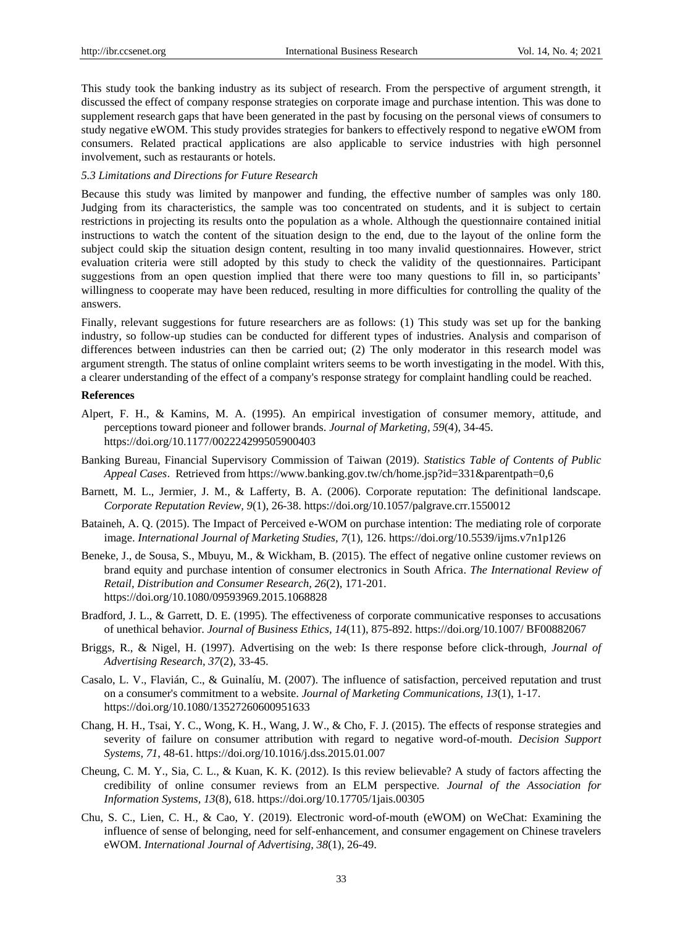This study took the banking industry as its subject of research. From the perspective of argument strength, it discussed the effect of company response strategies on corporate image and purchase intention. This was done to supplement research gaps that have been generated in the past by focusing on the personal views of consumers to study negative eWOM. This study provides strategies for bankers to effectively respond to negative eWOM from consumers. Related practical applications are also applicable to service industries with high personnel involvement, such as restaurants or hotels.

## *5.3 Limitations and Directions for Future Research*

Because this study was limited by manpower and funding, the effective number of samples was only 180. Judging from its characteristics, the sample was too concentrated on students, and it is subject to certain restrictions in projecting its results onto the population as a whole. Although the questionnaire contained initial instructions to watch the content of the situation design to the end, due to the layout of the online form the subject could skip the situation design content, resulting in too many invalid questionnaires. However, strict evaluation criteria were still adopted by this study to check the validity of the questionnaires. Participant suggestions from an open question implied that there were too many questions to fill in, so participants' willingness to cooperate may have been reduced, resulting in more difficulties for controlling the quality of the answers.

Finally, relevant suggestions for future researchers are as follows: (1) This study was set up for the banking industry, so follow-up studies can be conducted for different types of industries. Analysis and comparison of differences between industries can then be carried out; (2) The only moderator in this research model was argument strength. The status of online complaint writers seems to be worth investigating in the model. With this, a clearer understanding of the effect of a company's response strategy for complaint handling could be reached.

#### **References**

- Alpert, F. H., & Kamins, M. A. (1995). An empirical investigation of consumer memory, attitude, and perceptions toward pioneer and follower brands. *Journal of Marketing, 59*(4), 34-45. https://doi.org/10.1177/002224299505900403
- Banking Bureau, Financial Supervisory Commission of Taiwan (2019). *Statistics Table of Contents of Public Appeal Cases*. Retrieved from https://www.banking.gov.tw/ch/home.jsp?id=331&parentpath=0,6
- Barnett, M. L., Jermier, J. M., & Lafferty, B. A. (2006). Corporate reputation: The definitional landscape. *Corporate Reputation Review, 9*(1), 26-38. https://doi.org/10.1057/palgrave.crr.1550012
- Bataineh, A. Q. (2015). The Impact of Perceived e-WOM on purchase intention: The mediating role of corporate image. *International Journal of Marketing Studies, 7*(1), 126. https://doi.org/10.5539/ijms.v7n1p126
- Beneke, J., de Sousa, S., Mbuyu, M., & Wickham, B. (2015). The effect of negative online customer reviews on brand equity and purchase intention of consumer electronics in South Africa. *The International Review of Retail, Distribution and Consumer Research, 26*(2), 171-201. https://doi.org/10.1080/09593969.2015.1068828
- Bradford, J. L., & Garrett, D. E. (1995). The effectiveness of corporate communicative responses to accusations of unethical behavior. *Journal of Business Ethics, 14*(11), 875-892. https://doi.org/10.1007/ BF00882067
- Briggs, R., & Nigel, H. (1997). Advertising on the web: Is there response before click-through, *Journal of Advertising Research, 37*(2), 33-45.
- Casalo, L. V., Flavián, C., & Guinal ú, M. (2007). The influence of satisfaction, perceived reputation and trust on a consumer's commitment to a website. *Journal of Marketing Communications, 13*(1), 1-17. https://doi.org/10.1080/13527260600951633
- Chang, H. H., Tsai, Y. C., Wong, K. H., Wang, J. W., & Cho, F. J. (2015). The effects of response strategies and severity of failure on consumer attribution with regard to negative word-of-mouth. *Decision Support Systems, 71*, 48-61. https://doi.org/10.1016/j.dss.2015.01.007
- Cheung, C. M. Y., Sia, C. L., & Kuan, K. K. (2012). Is this review believable? A study of factors affecting the credibility of online consumer reviews from an ELM perspective. *Journal of the Association for Information Systems, 13*(8), 618. https://doi.org/10.17705/1jais.00305
- Chu, S. C., Lien, C. H., & Cao, Y. (2019). Electronic word-of-mouth (eWOM) on WeChat: Examining the influence of sense of belonging, need for self-enhancement, and consumer engagement on Chinese travelers eWOM. *International Journal of Advertising, 38*(1), 26-49.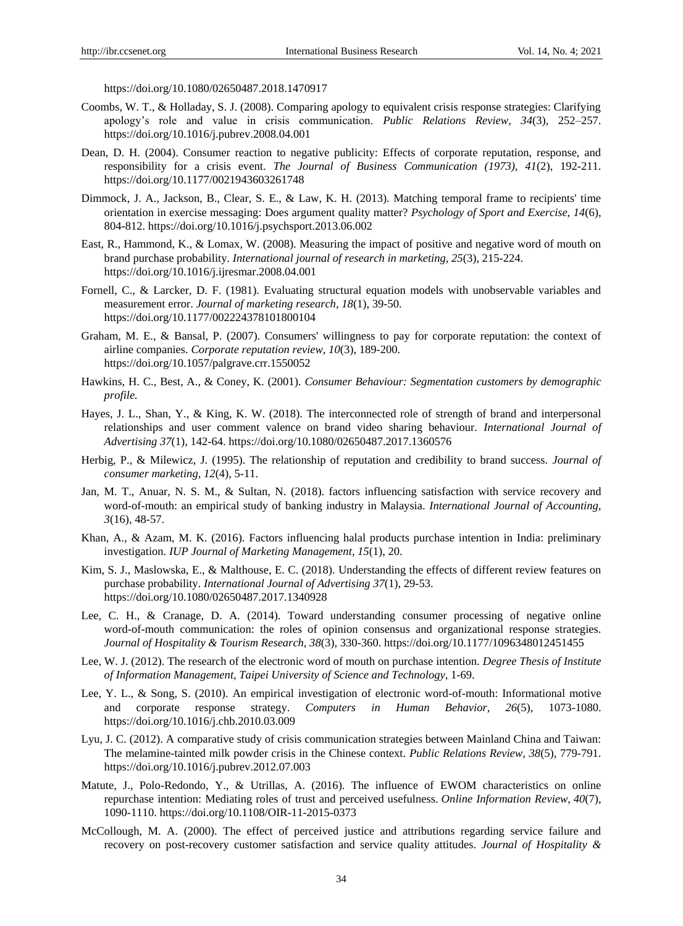https://doi.org/10.1080/02650487.2018.1470917

- Coombs, W. T., & Holladay, S. J. (2008). Comparing apology to equivalent crisis response strategies: Clarifying apology's role and value in crisis communication. *Public Relations Review, 34*(3), 252–257. https://doi.org/10.1016/j.pubrev.2008.04.001
- Dean, D. H. (2004). Consumer reaction to negative publicity: Effects of corporate reputation, response, and responsibility for a crisis event. *The Journal of Business Communication (1973), 41*(2), 192-211. https://doi.org/10.1177/0021943603261748
- Dimmock, J. A., Jackson, B., Clear, S. E., & Law, K. H. (2013). Matching temporal frame to recipients' time orientation in exercise messaging: Does argument quality matter? *Psychology of Sport and Exercise, 14*(6), 804-812. https://doi.org/10.1016/j.psychsport.2013.06.002
- East, R., Hammond, K., & Lomax, W. (2008). Measuring the impact of positive and negative word of mouth on brand purchase probability. *International journal of research in marketing, 25*(3), 215-224. https://doi.org/10.1016/j.ijresmar.2008.04.001
- Fornell, C., & Larcker, D. F. (1981). Evaluating structural equation models with unobservable variables and measurement error. *Journal of marketing research, 18*(1), 39-50. https://doi.org/10.1177/002224378101800104
- Graham, M. E., & Bansal, P. (2007). Consumers' willingness to pay for corporate reputation: the context of airline companies. *Corporate reputation review, 10*(3), 189-200. https://doi.org/10.1057/palgrave.crr.1550052
- Hawkins, H. C., Best, A., & Coney, K. (2001). *Consumer Behaviour: Segmentation customers by demographic profile.*
- Hayes, J. L., Shan, Y., & King, K. W. (2018). The interconnected role of strength of brand and interpersonal relationships and user comment valence on brand video sharing behaviour. *International Journal of Advertising 37*(1), 142-64. https://doi.org/10.1080/02650487.2017.1360576
- Herbig, P., & Milewicz, J. (1995). The relationship of reputation and credibility to brand success. *Journal of consumer marketing, 12*(4), 5-11.
- Jan, M. T., Anuar, N. S. M., & Sultan, N. (2018). factors influencing satisfaction with service recovery and word-of-mouth: an empirical study of banking industry in Malaysia. *International Journal of Accounting, 3*(16), 48-57.
- Khan, A., & Azam, M. K. (2016). Factors influencing halal products purchase intention in India: preliminary investigation. *IUP Journal of Marketing Management, 15*(1), 20.
- Kim, S. J., Maslowska, E., & Malthouse, E. C. (2018). Understanding the effects of different review features on purchase probability. *International Journal of Advertising 37*(1), 29-53. https://doi.org/10.1080/02650487.2017.1340928
- Lee, C. H., & Cranage, D. A. (2014). Toward understanding consumer processing of negative online word-of-mouth communication: the roles of opinion consensus and organizational response strategies. *Journal of Hospitality & Tourism Research, 38*(3), 330-360. https://doi.org/10.1177/1096348012451455
- Lee, W. J. (2012). The research of the electronic word of mouth on purchase intention. *Degree Thesis of Institute of Information Management, Taipei University of Science and Technology*, 1-69.
- Lee, Y. L., & Song, S. (2010). An empirical investigation of electronic word-of-mouth: Informational motive and corporate response strategy. *Computers in Human Behavior, 26*(5), 1073-1080. https://doi.org/10.1016/j.chb.2010.03.009
- Lyu, J. C. (2012). A comparative study of crisis communication strategies between Mainland China and Taiwan: The melamine-tainted milk powder crisis in the Chinese context. *Public Relations Review, 38*(5), 779-791. https://doi.org/10.1016/j.pubrev.2012.07.003
- Matute, J., Polo-Redondo, Y., & Utrillas, A. (2016). The influence of EWOM characteristics on online repurchase intention: Mediating roles of trust and perceived usefulness. *Online Information Review, 40*(7), 1090-1110. https://doi.org/10.1108/OIR-11-2015-0373
- McCollough, M. A. (2000). The effect of perceived justice and attributions regarding service failure and recovery on post-recovery customer satisfaction and service quality attitudes. *Journal of Hospitality &*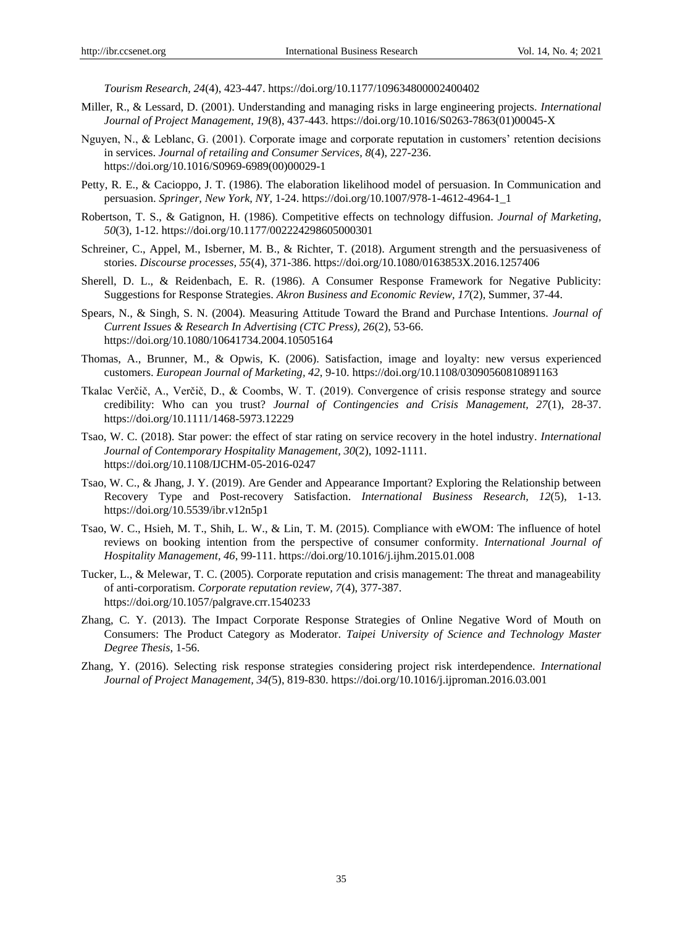*Tourism Research, 24*(4), 423-447. https://doi.org/10.1177/109634800002400402

- Miller, R., & Lessard, D. (2001). Understanding and managing risks in large engineering projects. *International Journal of Project Management, 19*(8), 437-443. https://doi.org/10.1016/S0263-7863(01)00045-X
- Nguyen, N., & Leblanc, G. (2001). Corporate image and corporate reputation in customers' retention decisions in services. *Journal of retailing and Consumer Services, 8*(4), 227-236. https://doi.org/10.1016/S0969-6989(00)00029-1
- Petty, R. E., & Cacioppo, J. T. (1986). The elaboration likelihood model of persuasion. In Communication and persuasion. *Springer, New York, NY*, 1-24. https://doi.org/10.1007/978-1-4612-4964-1\_1
- Robertson, T. S., & Gatignon, H. (1986). Competitive effects on technology diffusion. *Journal of Marketing, 50*(3), 1-12. https://doi.org/10.1177/002224298605000301
- Schreiner, C., Appel, M., Isberner, M. B., & Richter, T. (2018). Argument strength and the persuasiveness of stories. *Discourse processes, 55*(4), 371-386. https://doi.org/10.1080/0163853X.2016.1257406
- Sherell, D. L., & Reidenbach, E. R. (1986). A Consumer Response Framework for Negative Publicity: Suggestions for Response Strategies. *Akron Business and Economic Review, 17*(2), Summer, 37-44.
- Spears, N., & Singh, S. N. (2004). Measuring Attitude Toward the Brand and Purchase Intentions. *Journal of Current Issues & Research In Advertising (CTC Press), 26*(2), 53-66. https://doi.org/10.1080/10641734.2004.10505164
- Thomas, A., Brunner, M., & Opwis, K. (2006). Satisfaction, image and loyalty: new versus experienced customers. *European Journal of Marketing, 42*, 9-10. https://doi.org/10.1108/03090560810891163
- Tkalac Verčič, A., Verčič, D., & Coombs, W. T. (2019). Convergence of crisis response strategy and source credibility: Who can you trust? *Journal of Contingencies and Crisis Management, 27*(1), 28-37. https://doi.org/10.1111/1468-5973.12229
- Tsao, W. C. (2018). Star power: the effect of star rating on service recovery in the hotel industry. *International Journal of Contemporary Hospitality Management, 30*(2), 1092-1111. https://doi.org/10.1108/IJCHM-05-2016-0247
- Tsao, W. C., & Jhang, J. Y. (2019). Are Gender and Appearance Important? Exploring the Relationship between Recovery Type and Post-recovery Satisfaction. *International Business Research, 12*(5), 1-13. https://doi.org/10.5539/ibr.v12n5p1
- Tsao, W. C., Hsieh, M. T., Shih, L. W., & Lin, T. M. (2015). Compliance with eWOM: The influence of hotel reviews on booking intention from the perspective of consumer conformity. *International Journal of Hospitality Management, 46*, 99-111. https://doi.org/10.1016/j.ijhm.2015.01.008
- Tucker, L., & Melewar, T. C. (2005). Corporate reputation and crisis management: The threat and manageability of anti-corporatism. *Corporate reputation review, 7*(4), 377-387. https://doi.org/10.1057/palgrave.crr.1540233
- Zhang, C. Y. (2013). The Impact Corporate Response Strategies of Online Negative Word of Mouth on Consumers: The Product Category as Moderator. *Taipei University of Science and Technology Master Degree Thesis*, 1-56.
- Zhang, Y. (2016). Selecting risk response strategies considering project risk interdependence. *International Journal of Project Management, 34(*5), 819-830. https://doi.org/10.1016/j.ijproman.2016.03.001